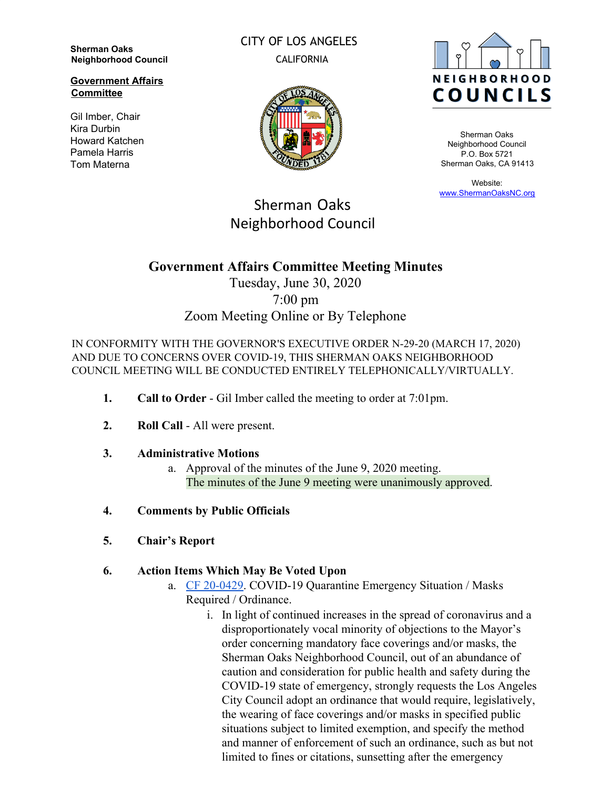**Sherman Oaks Neighborhood Council**

**Government Affairs Committee**

Gil Imber, Chair Kira Durbin Howard Katchen Pamela Harris Tom Materna

CITY OF LOS ANGELES CALIFORNIA





Sherman Oaks Neighborhood Council P.O. Box 5721 Sherman Oaks, CA 91413

Website: [www.ShermanOaksNC.org](http://www.shermanoaksnc.org/)

# Sherman Oaks Neighborhood Council

## **Government Affairs Committee Meeting Minutes**

## Tuesday, June 30, 2020 7:00 pm Zoom Meeting Online or By Telephone

IN CONFORMITY WITH THE GOVERNOR'S EXECUTIVE ORDER N-29-20 (MARCH 17, 2020) AND DUE TO CONCERNS OVER COVID-19, THIS SHERMAN OAKS NEIGHBORHOOD COUNCIL MEETING WILL BE CONDUCTED ENTIRELY TELEPHONICALLY/VIRTUALLY.

- **1. Call to Order** Gil Imber called the meeting to order at 7:01pm.
- **2. Roll Call**  All were present.

### **3. Administrative Motions**

- a. Approval of the minutes of the June 9, 2020 meeting. The minutes of the June 9 meeting were unanimously approved.
- **4. Comments by Public Officials**
- **5. Chair's Report**

### **6. Action Items Which May Be Voted Upon**

- a. [CF 20-0429](https://cityclerk.lacity.org/lacityclerkconnect/index.cfm?fa=ccfi.viewrecord&cfnumber=20-0429). COVID-19 Quarantine Emergency Situation / Masks Required / Ordinance.
	- i. In light of continued increases in the spread of coronavirus and a disproportionately vocal minority of objections to the Mayor's order concerning mandatory face coverings and/or masks, the Sherman Oaks Neighborhood Council, out of an abundance of caution and consideration for public health and safety during the COVID-19 state of emergency, strongly requests the Los Angeles City Council adopt an ordinance that would require, legislatively, the wearing of face coverings and/or masks in specified public situations subject to limited exemption, and specify the method and manner of enforcement of such an ordinance, such as but not limited to fines or citations, sunsetting after the emergency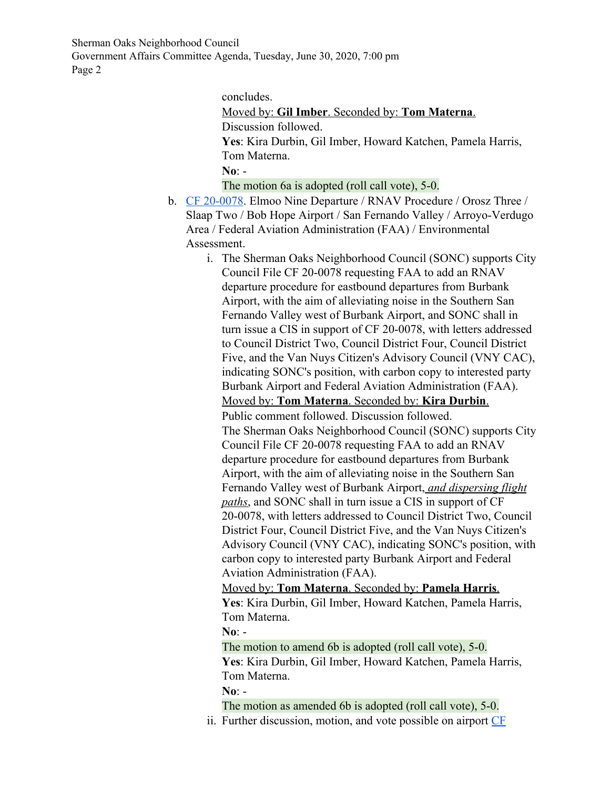Sherman Oaks Neighborhood Council Government Affairs Committee Agenda, Tuesday, June 30, 2020, 7:00 pm Page 2

concludes.

Moved by: **Gil Imber**. Seconded by: **Tom Materna**. Discussion followed.

**Yes**: Kira Durbin, Gil Imber, Howard Katchen, Pamela Harris, Tom Materna.

**No**: -

The motion 6a is adopted (roll call vote), 5-0.

- b. [CF 20-0078](https://cityclerk.lacity.org/lacityclerkconnect/index.cfm?fa=ccfi.viewrecord&cfnumber=20-0078). Elmoo Nine Departure / RNAV Procedure / Orosz Three / Slaap Two / Bob Hope Airport / San Fernando Valley / Arroyo-Verdugo Area / Federal Aviation Administration (FAA) / Environmental Assessment.
	- i. The Sherman Oaks Neighborhood Council (SONC) supports City Council File CF 20-0078 requesting FAA to add an RNAV departure procedure for eastbound departures from Burbank Airport, with the aim of alleviating noise in the Southern San Fernando Valley west of Burbank Airport, and SONC shall in turn issue a CIS in support of CF 20-0078, with letters addressed to Council District Two, Council District Four, Council District Five, and the Van Nuys Citizen's Advisory Council (VNY CAC), indicating SONC's position, with carbon copy to interested party Burbank Airport and Federal Aviation Administration (FAA). Moved by: **Tom Materna**. Seconded by: **Kira Durbin**. Public comment followed. Discussion followed. The Sherman Oaks Neighborhood Council (SONC) supports City Council File CF 20-0078 requesting FAA to add an RNAV departure procedure for eastbound departures from Burbank Airport, with the aim of alleviating noise in the Southern San Fernando Valley west of Burbank Airport, *and dispersing flight paths*, and SONC shall in turn issue a CIS in support of CF 20-0078, with letters addressed to Council District Two, Council District Four, Council District Five, and the Van Nuys Citizen's Advisory Council (VNY CAC), indicating SONC's position, with carbon copy to interested party Burbank Airport and Federal Aviation Administration (FAA).

Moved by: **Tom Materna**. Seconded by: **Pamela Harris**. **Yes**: Kira Durbin, Gil Imber, Howard Katchen, Pamela Harris, Tom Materna.

**No**: -

The motion to amend 6b is adopted (roll call vote), 5-0. **Yes**: Kira Durbin, Gil Imber, Howard Katchen, Pamela Harris, Tom Materna.

**No**: -

The motion as amended 6b is adopted (roll call vote), 5-0. ii. Further discussion, motion, and vote possible on airport [CF](https://cityclerk.lacity.org/lacityclerkconnect/index.cfm?fa=ccfi.viewrecord&cfnumber=20-0812)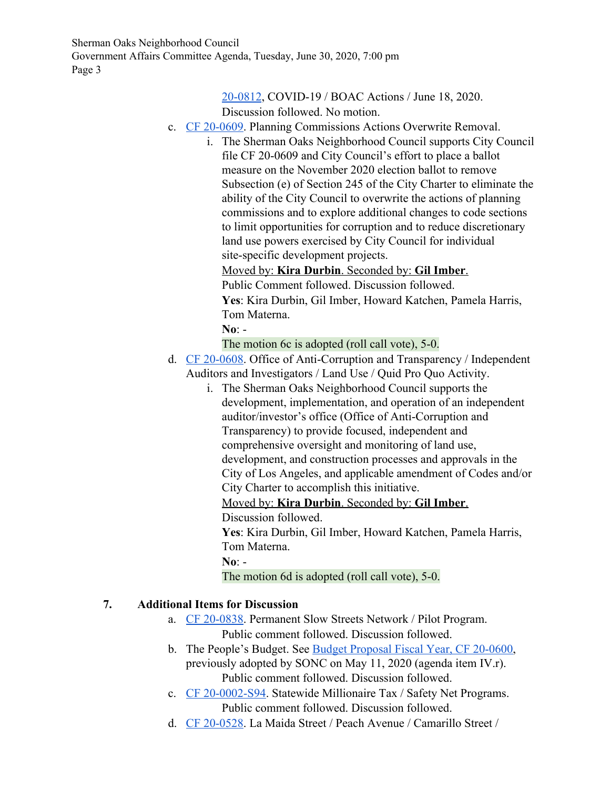Sherman Oaks Neighborhood Council Government Affairs Committee Agenda, Tuesday, June 30, 2020, 7:00 pm Page 3

### [20-0812](https://cityclerk.lacity.org/lacityclerkconnect/index.cfm?fa=ccfi.viewrecord&cfnumber=20-0812), COVID-19 / BOAC Actions / June 18, 2020.

Discussion followed. No motion.

- c. [CF 20-0609](https://cityclerk.lacity.org/lacityclerkconnect/index.cfm?fa=ccfi.viewrecord&cfnumber=20-0609). Planning Commissions Actions Overwrite Removal.
	- i. The Sherman Oaks Neighborhood Council supports City Council file CF 20-0609 and City Council's effort to place a ballot measure on the November 2020 election ballot to remove Subsection (e) of Section 245 of the City Charter to eliminate the ability of the City Council to overwrite the actions of planning commissions and to explore additional changes to code sections to limit opportunities for corruption and to reduce discretionary land use powers exercised by City Council for individual site-specific development projects.
		- Moved by: **Kira Durbin**. Seconded by: **Gil Imber**.
		- Public Comment followed. Discussion followed.
		- **Yes**: Kira Durbin, Gil Imber, Howard Katchen, Pamela Harris, Tom Materna.
		- **No**: -
		- The motion 6c is adopted (roll call vote), 5-0.
- d. [CF 20-0608](https://cityclerk.lacity.org/lacityclerkconnect/index.cfm?fa=ccfi.viewrecord&cfnumber=20-0608). Office of Anti-Corruption and Transparency / Independent Auditors and Investigators / Land Use / Quid Pro Quo Activity.
	- i. The Sherman Oaks Neighborhood Council supports the development, implementation, and operation of an independent auditor/investor's office (Office of Anti-Corruption and Transparency) to provide focused, independent and comprehensive oversight and monitoring of land use, development, and construction processes and approvals in the City of Los Angeles, and applicable amendment of Codes and/or City Charter to accomplish this initiative.

Moved by: **Kira Durbin**. Seconded by: **Gil Imber**.

Discussion followed.

**Yes**: Kira Durbin, Gil Imber, Howard Katchen, Pamela Harris, Tom Materna.

**No**: -

The motion 6d is adopted (roll call vote), 5-0.

### **7. Additional Items for Discussion**

- a. [CF 20-0838](https://cityclerk.lacity.org/lacityclerkconnect/index.cfm?fa=ccfi.viewrecord&cfnumber=20-0838). Permanent Slow Streets Network / Pilot Program. Public comment followed. Discussion followed.
- b. The People's Budget. See [Budget Proposal Fiscal Year, CF 20-0600](https://cityclerk.lacity.org/lacityclerkconnect/index.cfm?fa=ccfi.viewrecord&cfnumber=20-0600), previously adopted by SONC on May 11, 2020 (agenda item IV.r). Public comment followed. Discussion followed.
- c. [CF 20-0002-S94](https://cityclerk.lacity.org/lacityclerkconnect/index.cfm?fa=ccfi.viewrecord&cfnumber=20-0002-S94). Statewide Millionaire Tax / Safety Net Programs. Public comment followed. Discussion followed.
- d. [CF 20-0528](https://cityclerk.lacity.org/lacityclerkconnect/index.cfm?fa=ccfi.viewrecord&cfnumber=20-0528). La Maida Street / Peach Avenue / Camarillo Street /